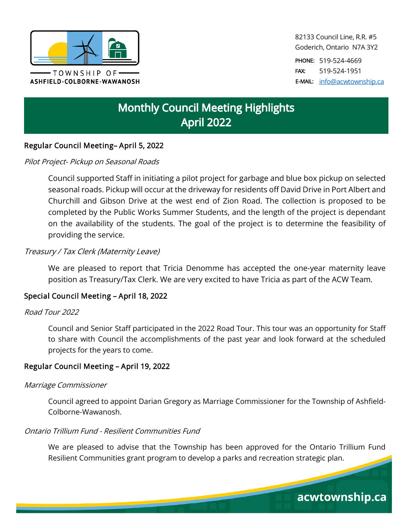

82133 Council Line, R.R. #5 Goderich, Ontario N7A 3Y2

PHONE: 519-524-4669 FAX: 519-524-1951 E-MAIL: [info@acwtownship.ca](mailto:info@acwtownship.ca)

acwtownship.ca

# **Monthly Council Meeting Highlights April 2022**

## Regular Council Meeting– April 5, 2022

#### Pilot Project- Pickup on Seasonal Roads

Council supported Staff in initiating a pilot project for garbage and blue box pickup on selected seasonal roads. Pickup will occur at the driveway for residents off David Drive in Port Albert and Churchill and Gibson Drive at the west end of Zion Road. The collection is proposed to be completed by the Public Works Summer Students, and the length of the project is dependant on the availability of the students. The goal of the project is to determine the feasibility of providing the service.

#### Treasury / Tax Clerk (Maternity Leave)

We are pleased to report that Tricia Denomme has accepted the one-year maternity leave position as Treasury/Tax Clerk. We are very excited to have Tricia as part of the ACW Team.

#### Special Council Meeting – April 18, 2022

#### Road Tour 2022

Council and Senior Staff participated in the 2022 Road Tour. This tour was an opportunity for Staff to share with Council the accomplishments of the past year and look forward at the scheduled projects for the years to come.

#### Regular Council Meeting – April 19, 2022

#### Marriage Commissioner

Council agreed to appoint Darian Gregory as Marriage Commissioner for the Township of Ashfield-Colborne-Wawanosh.

#### Ontario Trillium Fund - Resilient Communities Fund

We are pleased to advise that the Township has been approved for the Ontario Trillium Fund Resilient Communities grant program to develop a parks and recreation strategic plan.